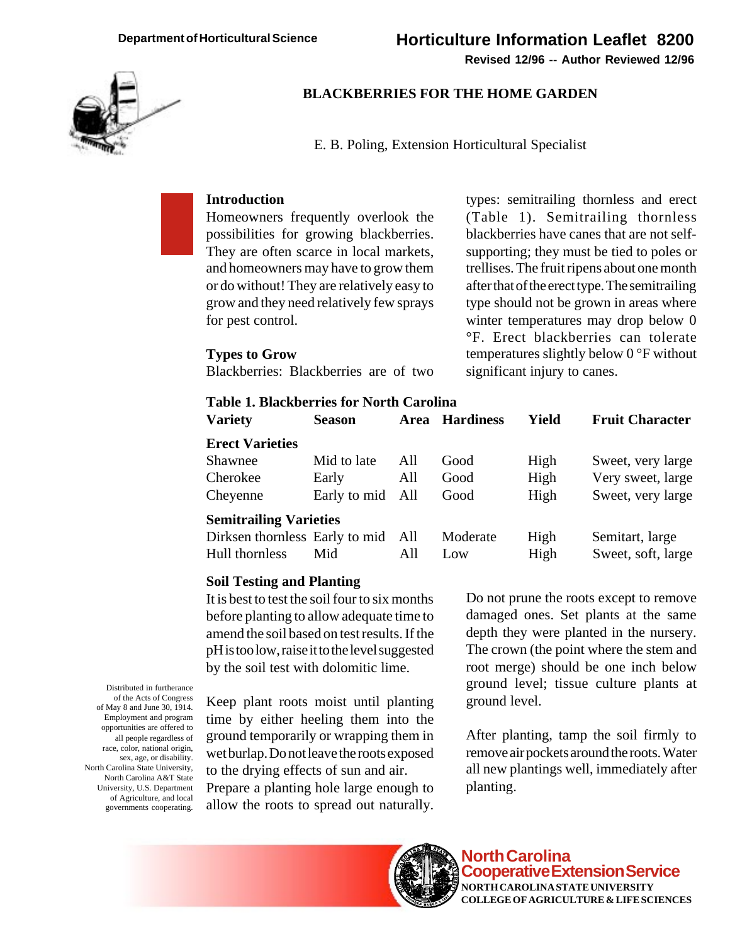**Revised 12/96 -- Author Reviewed 12/96**



# **BLACKBERRIES FOR THE HOME GARDEN**

E. B. Poling, Extension Horticultural Specialist

## **Introduction**

Homeowners frequently overlook the possibilities for growing blackberries. They are often scarce in local markets, and homeowners may have to grow them or do without! They are relatively easy to grow and they need relatively few sprays for pest control.

**Types to Grow**

Blackberries: Blackberries are of two

types: semitrailing thornless and erect (Table 1). Semitrailing thornless blackberries have canes that are not selfsupporting; they must be tied to poles or trellises. The fruit ripens about one month after that of the erect type. The semitrailing type should not be grown in areas where winter temperatures may drop below 0 °F. Erect blackberries can tolerate temperatures slightly below 0 °F without significant injury to canes.

## **Table 1. Blackberries for North Carolina**

| <b>Variety</b>                | <b>Season</b>    | Area | <b>Hardiness</b> | Yield | <b>Fruit Character</b> |  |  |  |
|-------------------------------|------------------|------|------------------|-------|------------------------|--|--|--|
| <b>Erect Varieties</b>        |                  |      |                  |       |                        |  |  |  |
| Shawnee                       | Mid to late      | All  | Good             | High  | Sweet, very large      |  |  |  |
| Cherokee                      | Early            | All  | Good             | High  | Very sweet, large      |  |  |  |
| Cheyenne                      | Early to mid All |      | Good             | High  | Sweet, very large      |  |  |  |
| <b>Semitrailing Varieties</b> |                  |      |                  |       |                        |  |  |  |

| Dirksen thornless Early to mid All |     |         | Moderate | High | Semitart, large    |
|------------------------------------|-----|---------|----------|------|--------------------|
| Hull thornless                     | Mid | All Low |          | High | Sweet, soft, large |

### **Soil Testing and Planting**

It is best to test the soil four to six months before planting to allow adequate time to amend the soil based on test results. If the pH is too low, raise it to the level suggested by the soil test with dolomitic lime.

Distributed in furtherance of the Acts of Congress of May 8 and June 30, 1914. Employment and program opportunities are offered to all people regardless of race, color, national origin, sex, age, or disability. North Carolina State University, North Carolina A&T State University, U.S. Department of Agriculture, and local governments cooperating.

Keep plant roots moist until planting time by either heeling them into the ground temporarily or wrapping them in wet burlap. Do not leave the roots exposed to the drying effects of sun and air. Prepare a planting hole large enough to allow the roots to spread out naturally.

Do not prune the roots except to remove damaged ones. Set plants at the same depth they were planted in the nursery. The crown (the point where the stem and root merge) should be one inch below ground level; tissue culture plants at ground level.

After planting, tamp the soil firmly to remove air pockets around the roots. Water all new plantings well, immediately after planting.



**North Carolina Cooperative Extension Service NORTH CAROLINA STATE UNIVERSITY COLLEGE OF AGRICULTURE & LIFE SCIENCES**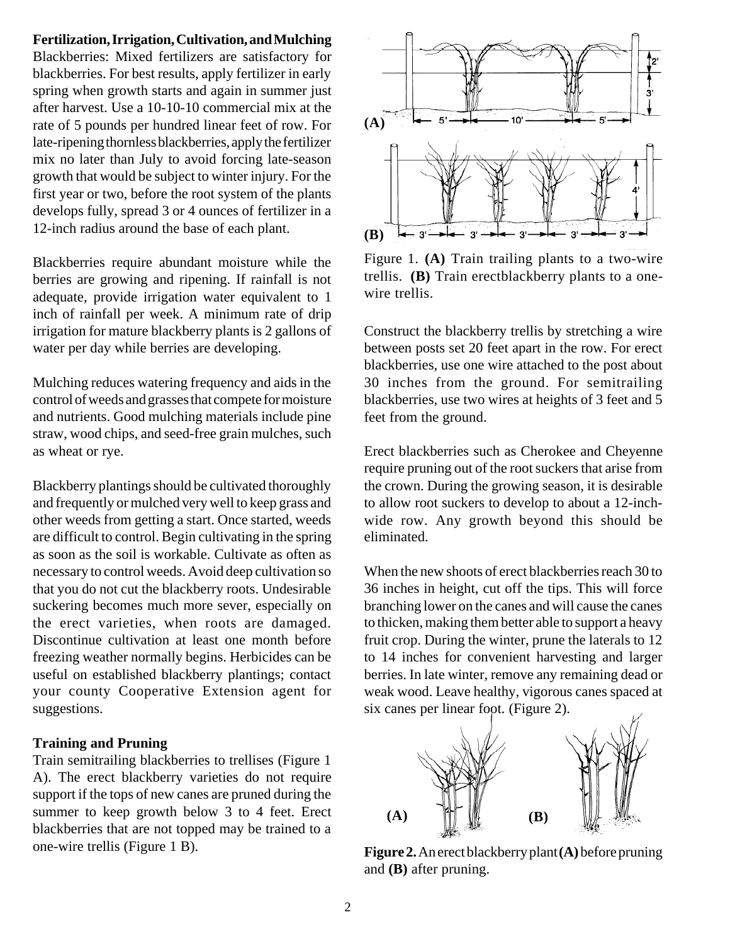# **Fertilization, Irrigation, Cultivation, and Mulching**

Blackberries: Mixed fertilizers are satisfactory for blackberries. For best results, apply fertilizer in early spring when growth starts and again in summer just after harvest. Use a 10-10-10 commercial mix at the rate of 5 pounds per hundred linear feet of row. For late-ripening thornless blackberries, apply the fertilizer mix no later than July to avoid forcing late-season growth that would be subject to winter injury. For the first year or two, before the root system of the plants develops fully, spread 3 or 4 ounces of fertilizer in a 12-inch radius around the base of each plant.

Blackberries require abundant moisture while the berries are growing and ripening. If rainfall is not adequate, provide irrigation water equivalent to 1 inch of rainfall per week. A minimum rate of drip irrigation for mature blackberry plants is 2 gallons of water per day while berries are developing.

Mulching reduces watering frequency and aids in the control of weeds and grasses that compete for moisture and nutrients. Good mulching materials include pine straw, wood chips, and seed-free grain mulches, such as wheat or rye.

Blackberry plantings should be cultivated thoroughly and frequently or mulched very well to keep grass and other weeds from getting a start. Once started, weeds are difficult to control. Begin cultivating in the spring as soon as the soil is workable. Cultivate as often as necessary to control weeds. Avoid deep cultivation so that you do not cut the blackberry roots. Undesirable suckering becomes much more sever, especially on the erect varieties, when roots are damaged. Discontinue cultivation at least one month before freezing weather normally begins. Herbicides can be useful on established blackberry plantings; contact your county Cooperative Extension agent for suggestions.

## **Training and Pruning**

Train semitrailing blackberries to trellises (Figure 1 A). The erect blackberry varieties do not require support if the tops of new canes are pruned during the summer to keep growth below 3 to 4 feet. Erect blackberries that are not topped may be trained to a one-wire trellis (Figure 1 B).



Figure 1. **(A)** Train trailing plants to a two-wire trellis. **(B)** Train erectblackberry plants to a onewire trellis.

Construct the blackberry trellis by stretching a wire between posts set 20 feet apart in the row. For erect blackberries, use one wire attached to the post about 30 inches from the ground. For semitrailing blackberries, use two wires at heights of 3 feet and 5 feet from the ground.

Erect blackberries such as Cherokee and Cheyenne require pruning out of the root suckers that arise from the crown. During the growing season, it is desirable to allow root suckers to develop to about a 12-inchwide row. Any growth beyond this should be eliminated.

When the new shoots of erect blackberries reach 30 to 36 inches in height, cut off the tips. This will force branching lower on the canes and will cause the canes to thicken, making them better able to support a heavy fruit crop. During the winter, prune the laterals to 12 to 14 inches for convenient harvesting and larger berries. In late winter, remove any remaining dead or weak wood. Leave healthy, vigorous canes spaced at six canes per linear foot. (Figure 2).



**Figure 2.** An erect blackberry plant **(A)** before pruning and **(B)** after pruning.